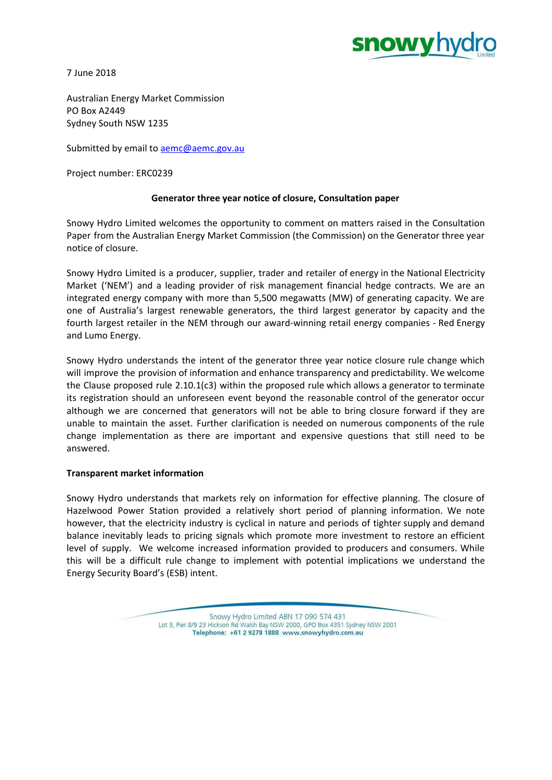

7 June 2018

Australian Energy Market Commission PO Box A2449 Sydney South NSW 1235

Submitted by email to **[aemc@aemc.gov.au](mailto:aemc@aemc.gov.au)** 

Project number: ERC0239

# **Generator three year notice of closure, Consultation paper**

Snowy Hydro Limited welcomes the opportunity to comment on matters raised in the Consultation Paper from the Australian Energy Market Commission (the Commission) on the Generator three year notice of closure.

Snowy Hydro Limited is a producer, supplier, trader and retailer of energy in the National Electricity Market ('NEM') and a leading provider of risk management financial hedge contracts. We are an integrated energy company with more than 5,500 megawatts (MW) of generating capacity. We are one of Australia's largest renewable generators, the third largest generator by capacity and the fourth largest retailer in the NEM through our award-winning retail energy companies - Red Energy and Lumo Energy.

Snowy Hydro understands the intent of the generator three year notice closure rule change which will improve the provision of information and enhance transparency and predictability. We welcome the Clause proposed rule 2.10.1(c3) within the proposed rule which allows a generator to terminate its registration should an unforeseen event beyond the reasonable control of the generator occur although we are concerned that generators will not be able to bring closure forward if they are unable to maintain the asset. Further clarification is needed on numerous components of the rule change implementation as there are important and expensive questions that still need to be answered.

## **Transparent market information**

Snowy Hydro understands that markets rely on information for effective planning. The closure of Hazelwood Power Station provided a relatively short period of planning information. We note however, that the electricity industry is cyclical in nature and periods of tighter supply and demand balance inevitably leads to pricing signals which promote more investment to restore an efficient level of supply. We welcome increased information provided to producers and consumers. While this will be a difficult rule change to implement with potential implications we understand the Energy Security Board's (ESB) intent.

> Snowy Hydro Limited ABN 17 090 574 431 Lot 3, Pier 8/9 23 Hickson Rd Walsh Bay NSW 2000, GPO Box 4351 Sydney NSW 2001 Telephone: +61 2 9278 1888 www.snowyhydro.com.au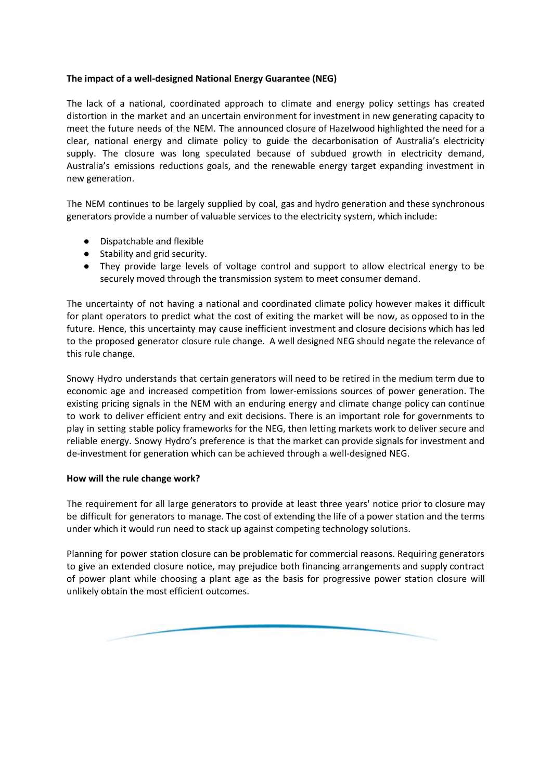# **The impact of a well-designed National Energy Guarantee (NEG)**

The lack of a national, coordinated approach to climate and energy policy settings has created distortion in the market and an uncertain environment for investment in new generating capacity to meet the future needs of the NEM. The announced closure of Hazelwood highlighted the need for a clear, national energy and climate policy to guide the decarbonisation of Australia's electricity supply. The closure was long speculated because of subdued growth in electricity demand, Australia's emissions reductions goals, and the renewable energy target expanding investment in new generation.

The NEM continues to be largely supplied by coal, gas and hydro generation and these synchronous generators provide a number of valuable services to the electricity system, which include:

- Dispatchable and flexible
- Stability and grid security.
- They provide large levels of voltage control and support to allow electrical energy to be securely moved through the transmission system to meet consumer demand.

The uncertainty of not having a national and coordinated climate policy however makes it difficult for plant operators to predict what the cost of exiting the market will be now, as opposed to in the future. Hence, this uncertainty may cause inefficient investment and closure decisions which has led to the proposed generator closure rule change. A well designed NEG should negate the relevance of this rule change.

Snowy Hydro understands that certain generators will need to be retired in the medium term due to economic age and increased competition from lower-emissions sources of power generation. The existing pricing signals in the NEM with an enduring energy and climate change policy can continue to work to deliver efficient entry and exit decisions. There is an important role for governments to play in setting stable policy frameworks for the NEG, then letting markets work to deliver secure and reliable energy. Snowy Hydro's preference is that the market can provide signals for investment and de-investment for generation which can be achieved through a well-designed NEG.

## **How will the rule change work?**

The requirement for all large generators to provide at least three years' notice prior to closure may be difficult for generators to manage. The cost of extending the life of a power station and the terms under which it would run need to stack up against competing technology solutions.

Planning for power station closure can be problematic for commercial reasons. Requiring generators to give an extended closure notice, may prejudice both financing arrangements and supply contract of power plant while choosing a plant age as the basis for progressive power station closure will unlikely obtain the most efficient outcomes.